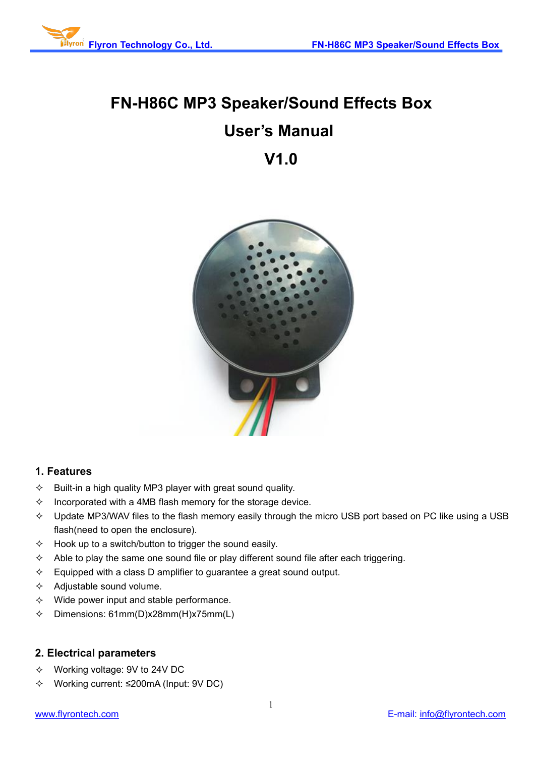

# **FN-H86C MP3 Speaker/Sound Effects Box User's Manual V1.0**



# **1. Features**

- $\Diamond$  Built-in a high quality MP3 player with great sound quality.
- $\Diamond$  Incorporated with a 4MB flash memory for the storage device.
- $\Diamond$  Update MP3/WAV files to the flash memory easily through the micro USB port based on PC like using a USB flash(need to open the enclosure).
- $\Diamond$  Hook up to a switch/button to trigger the sound easily.
- $\Diamond$  Able to play the same one sound file or play different sound file after each triggering.
- $\Diamond$  Equipped with a class D amplifier to guarantee a great sound output.
- $\Diamond$  Adjustable sound volume.
- $\Diamond$  Wide power input and stable performance.
- $\div$  Dimensions: 61mm(D)x28mm(H)x75mm(L)

# **2. Electrical parameters**

- Working voltage: 9V to 24V DC
- Working current: ≤200mA (Input: 9V DC)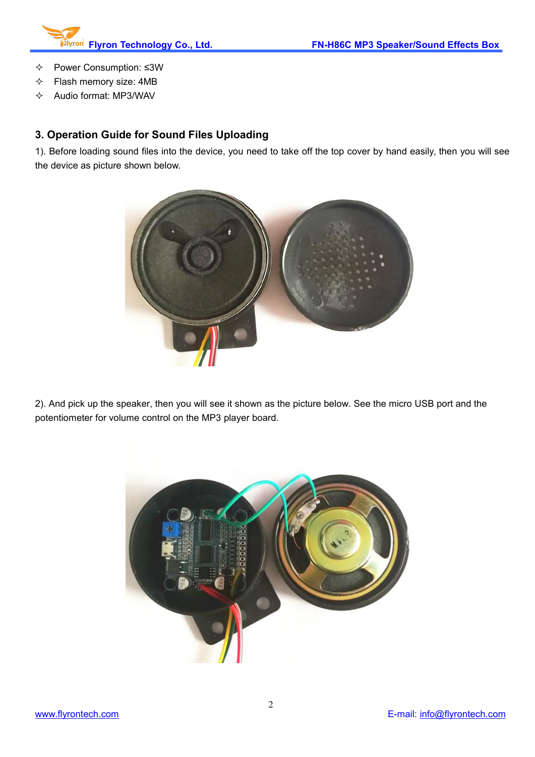

- Power Consumption: ≤3W
- $\Leftrightarrow$  Flash memory size: 4MB
- $\Diamond$  Audio format: MP3/WAV

# **3. Operation Guide for Sound Files Uploading**

1). Before loading sound files into the device, you need to take off the top cover by hand easily, then you will see the device as picture shown below.



2). And pick up the speaker, then you will see it shown as the picture below. See the micro USB port and the potentiometer for volume control on the MP3 player board.

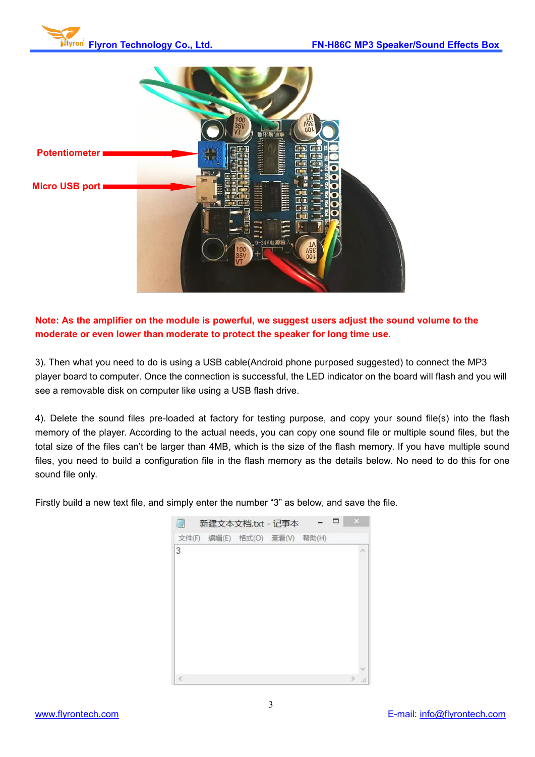



**Note: As the amplifier on the module is powerful, we suggest users adjust the sound volume to the moderate or even lower than moderate to protect the speaker for long time use.**

3). Then what you need to do is using a USB cable(Android phone purposed suggested) to connect the MP3 player board to computer. Once the connection is successful, the LED indicator on the board will flash and you will see a removable disk on computer like using a USB flash drive.

4). Delete the sound files pre-loaded at factory for testing purpose, and copy your sound file(s) into the flash memory of the player. According to the actual needs, you can copy one sound file or multiple sound files, but the total size of the files can't be larger than 4MB, which is the size of the flash memory. If you have multiple sound files, you need to build a configuration file in the flash memory as the details below. No need to do this for one sound file only.

Firstly build a new text file, and simply enter the number "3" as below, and save the file.

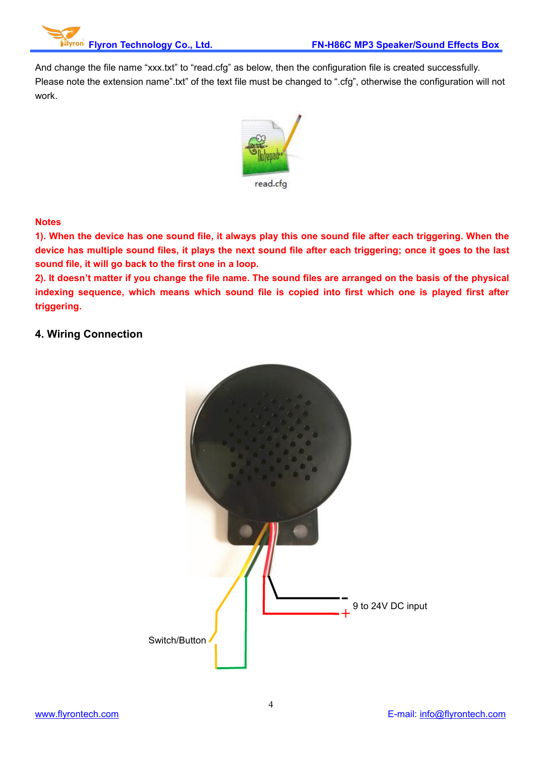And change the file name "xxx.txt" to "read.cfg" as below, then the configuration file is created successfully. Please note the extension name".txt" of the text file must be changed to ".cfg", otherwise the configuration will not work.



#### **Notes**

1). When the device has one sound file, it always play this one sound file after each triggering. When the device has multiple sound files, it plays the next sound file after each triggering; once it goes to the last **sound file, it will go back to the first one in a loop.**

2). It doesn't matter if you change the file name. The sound files are arranged on the basis of the physical **indexing sequence, which means which sound file is copied into first which one is played first after triggering.**

### **4. Wiring Connection**